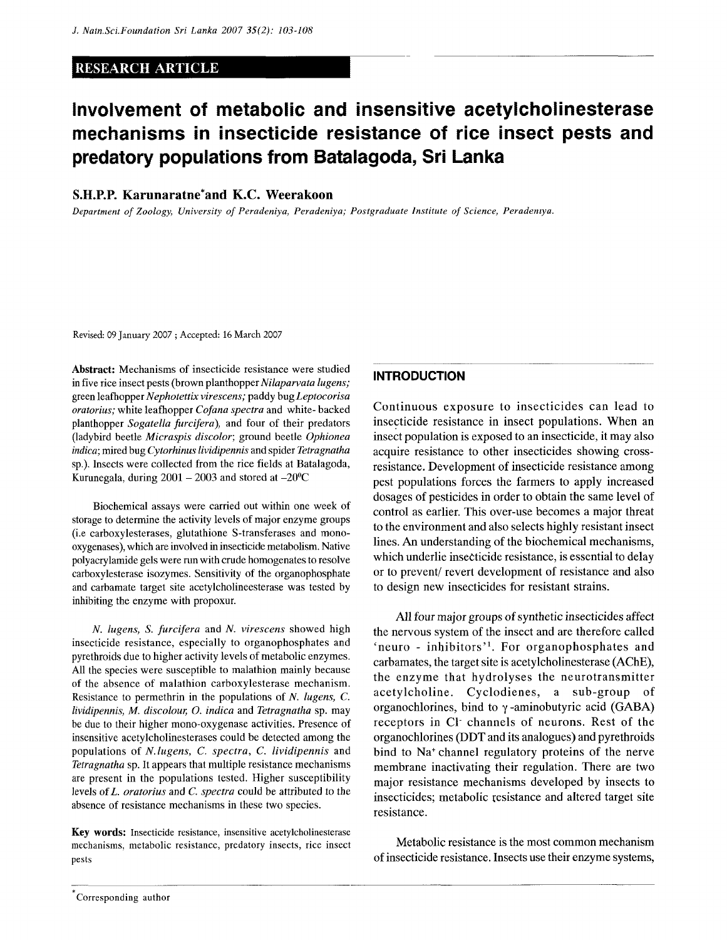## RESEARCH ARTICLE

# **Involvement of metabolic and insensitive acetylcholinesterase mechanisms in insecticide resistance of rice insect pests and predatory populations from Batalagoda, Sri Lanka**

### S.H.P.P. Karunaratne\*and K.C. Weerakoon

*Department of Zoology, University of Peradeniya, Peradeniya; Postgraduate Institute of Science, Perademya.* 

Revised: 09 January 2007 ; Accepted: 16 March 2007

Abstract: Mechanisms of insecticide resistance were studied in five rice insect pests (brown *planthopper Nilaparvata lugens;*  green leafhopper *Nephotettix virescens;* paddy bug *Leptocorisa oratorius;* white leafhopper *Cofana spectra* and white- backed planthopper *Sogatella furcifera),* and four of their predators (ladybird beetle *Micraspis discolor;* ground beetle *Ophionea indica;* mired bug *Cytorhinus lividipennis* and spider *Tetragnatha*  sp.). Insects were collected from the rice fields at Batalagoda, Kurunegala, during  $2001 - 2003$  and stored at  $-20^{\circ}$ C

Biochemical assays were carried out within one week of storage to determine the activity levels of major enzyme groups (i.e carboxylesterases, glutathione S-transferases and monooxygenases), which are involved in insecticide metabolism. Native polyacrylamide gels were run with crude homogenates to resolve carboxylesterase isozymes. Sensitivity of the organophosphate and carbamate target site acetylcholineesterase was tested by inhibiting the enzyme with propoxur.

*N. lugens, S. furcifera* and *N. virescens* showed high insecticide resistance, especially to organophosphates and pyrethroids due to higher activity levels of metabolic enzymes. All the species were susceptible to malathion mainly because of the absence of malathion carboxylesterase mechanism. Resistance to permethrin in the populations of *N. lugens, C. lividipennis, M. discolour, O. indica* and *Tetragnatha* sp. may be due to their higher mono-oxygenase activities. Presence of insensitive acetylcholinesterases could be detected among the populations of *N.lugens, C. spectra,* C. *lividipennis* and *Tetragnatha* sp. It appears that multiple resistance mechanisms are present in the populations tested. Higher susceptibility levels of *L. oratorius* and *C. spectra* could be attributed to the absence of resistance mechanisms in these two species.

Key words: Insecticide resistance, insensitive acetylcholinesterase mechanisms, metabolic resistance, predatory insects, rice insect pests

#### **INTRODUCTION**

Continuous exposure to insecticides can lead to insecticide resistance in insect populations. When an insect population is exposed to an insecticide, it may also acquire resistance to other insecticides showing crossresistance. Development of insecticide resistance among pest populations forces the farmers to apply increased dosages of pesticides in order to obtain the same level of control as earlier. This over-use becomes a major threat to the environment and also selects highly resistant insect lines. An understanding of the biochemical mechanisms, which underlie insecticide resistance, is essential to delay or to prevent/ revert development of resistance and also to design new insecticides for resistant strains.

All four major groups of synthetic insecticides affect the nervous system of the insect and are therefore called 'neuro - inhibitors'<sup>1</sup>. For organophosphates and carbamates, the target site is acetylcholinesterase (AChE), the enzyme that hydrolyses the neurotransmitter acetylcholine. Cyclodienes, a sub-group of organochlorines, bind to  $\gamma$ -aminobutyric acid (GABA) receptors in Cl channels of neurons. Rest of the organochlorines (DDT and its analogues) and pyrethroids bind to Na<sup>+</sup> channel regulatory proteins of the nerve membrane inactivating their regulation. There are two major resistance mechanisms developed by insects to insecticides; metabolic resistance and altered target site resistance.

Metabolic resistance is the most common mechanism of insecticide resistance. Insects use their enzyme systems,

Corresponding author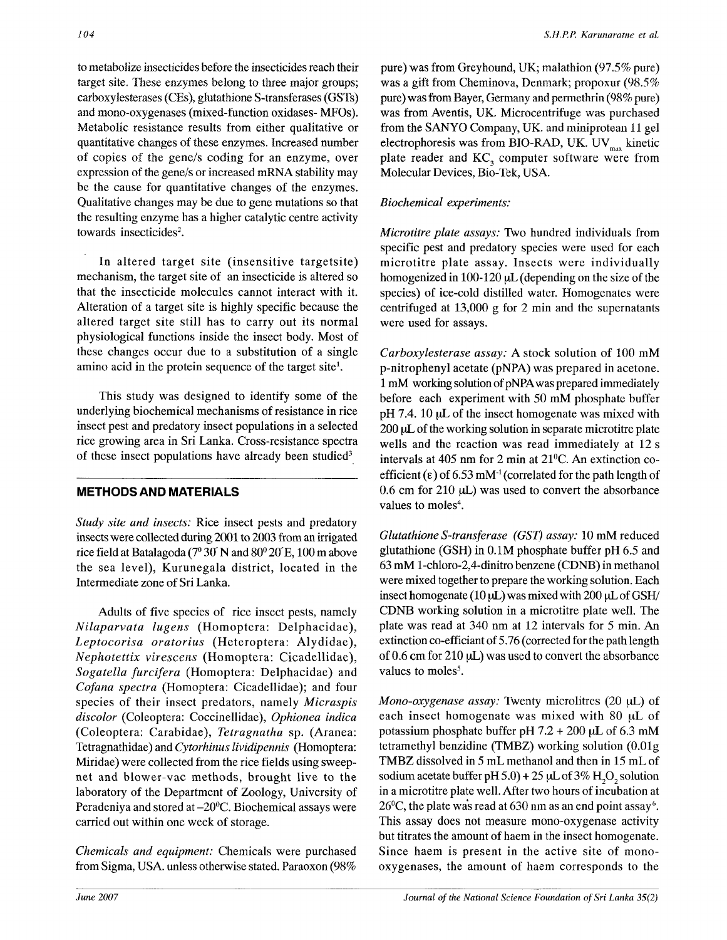to metabolize insecticides before the insecticides reach their target site. These enzymes belong to three major groups; carboxylesterases (CEs), glutathione S-transferases (GSTs) and mono-oxygenases (mixed-function oxidases- MFOs). Metabolic resistance results from either qualitative or quantitative changes of these enzymes. Increased number of copies of the gene/s coding for an enzyme, over expression of the gene/s or increased mRNA stability may be the cause for quantitative changes of the enzymes. Qualitative changes may be due to gene mutations so that the resulting enzyme has a higher catalytic centre activity towards insecticides<sup>2</sup>.

In altered target site (insensitive targetsite) mechanism, the target site of an insecticide is altered so that the insecticide molecules cannot interact with it. Alteration of a target site is highly specific because the altered target site still has to carry out its normal physiological functions inside the insect body. Most of these changes occur due to a substitution of a single amino acid in the protein sequence of the target site<sup>1</sup>.

This study was designed to identify some of the underlying biochemical mechanisms of resistance in rice insect pest and predatory insect populations in a selected rice growing area in Sri Lanka. Cross-resistance spectra of these insect populations have already been studied<sup>3</sup>

# **METHODS AND MATERIALS**

*Study site and insects:* Rice insect pests and predatory insects were collected during 2001 to 2003 from an irrigated rice field at Batalagoda ( $7^{\circ}$  30 N and 80 $^{\circ}$  20 E, 100 m above the sea level), Kurunegala district, located in the Intermediate zone of Sri Lanka.

Adults of five species of rice insect pests, namely *Nilaparvata lugens* (Homoptera: Delphacidae), *Leptocorisa oratorius* (Heteroptera: Alydidae), *Nephotettix virescens* (Homoptera: Cicadellidae), *Sogatella furcifera* (Homoptera: Delphacidae) and *Cofana spectra* (Homoptera: Cicadellidae); and four species of their insect predators, namely *Micraspis discolor* (Coleoptera: Coccinellidae), *Ophionea indica*  (Coleoptera: Carabidae), *Tetragnatha* sp. (Aranea: Tetragnathidae) and *Cytorhinus lividipennis* (Homoptera: Miridae) were collected from the rice fields using sweepnet and blower-vac methods, brought live to the laboratory of the Department of Zoology, University of Peradeniya and stored at -20°C. Biochemical assays were carried out within one week of storage.

*Chemicals and equipment:* Chemicals were purchased from Sigma, USA. unless otherwise stated. Paraoxon (98% pure) was from Greyhound, UK; malathion (97.5% pure) was a gift from Cheminova, Denmark; propoxur (98.5% pure) was from Bayer, Germany and permethrin (98% pure) was from Aventis, UK. Microcentrifuge was purchased from the SANYO Company, UK. and miniprotean 11 gel electrophoresis was from BIO-RAD, UK. UV $_{\text{max}}$  kinetic plate reader and KC<sub>3</sub> computer software were from  $p$ late reader and  $\text{FC}_3$  computer software were from Molecular Devices, Bio-Tek, USA.

# *Biochemical experiments:*

*Microtitre plate assays:* Two hundred individuals from specific pest and predatory species were used for each microtitre plate assay. Insects were individually homogenized in 100-120  $\mu$ L (depending on the size of the species) of ice-cold distilled water. Homogenates were centrifuged at 13,000 g for 2 min and the supernatants were used for assays.

*Carboxylesterase assay: A* stock solution of 100 mM p-nitrophenyl acetate (pNPA) was prepared in acetone. 1 mM working solution of pNPAwas prepared immediately before each experiment with 50 mM phosphate buffer pH 7.4. 10  $\mu$ L of the insect homogenate was mixed with  $200 \mu L$  of the working solution in separate microtitre plate wells and the reaction was read immediately at 12 s intervals at 405 nm for 2 min at 21°C. An extinction coefficient  $(\epsilon)$  of 6.53 mM<sup>-1</sup> (correlated for the path length of  $0.6$  cm for  $210 \mu L$ ) was used to convert the absorbance values to moles<sup>4</sup>.

*Glutathione S-transferase (GST) assay:* 10 mM reduced glutathione (GSH) in 0.1M phosphate buffer pH *6.5* and 63 mM l-chloro-2,4-dinitro benzene (CDNB) in methanol were mixed together to prepare the working solution. Each insect homogenate (10  $\mu$ L) was mixed with 200  $\mu$ L of GSH/ CDNB working solution in a microtitre plate well. The plate was read at 340 nm at 12 intervals for 5 min. An extinction co-efficiant of 5.76 (corrected for the path length of 0.6 cm for 210 *\xL)* was used to convert the absorbance values to moles<sup>5</sup>.

*Mono-oxygenase assay:* Twenty microlitres (20 µL) of each insect homogenate was mixed with  $80 \mu L$  of potassium phosphate buffer pH  $7.2 + 200 \mu L$  of 6.3 mM tetramethyl benzidine (TMBZ) working solution (O.Olg TMBZ dissolved in 5 mL methanol and then in 15 mL of sodium acetate buffer pH  $5.0$ ) + 25  $\mu$ L of 3% H<sub>2</sub>O<sub>2</sub> solution in a microtitre plate well. After two hours of incubation at 26<sup>o</sup>C, the plate was read at 630 nm as an end point assay<sup>6</sup>. This assay does not measure mono-oxygenase activity but titrates the amount of haem in the insect homogenate. Since haem is present in the active site of monooxygenases, the amount of haem corresponds to the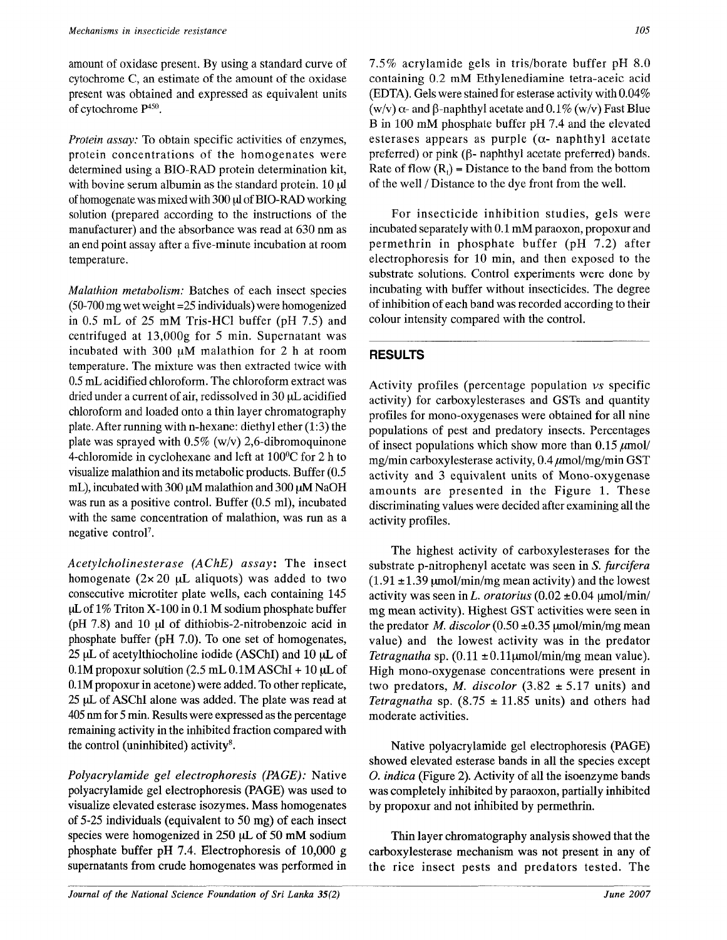amount of oxidase present. By using a standard curve of cytochrome C, an estimate of the amount of the oxidase present was obtained and expressed as equivalent units of cytochrome P<sup>450</sup> .

*Protein assay:* To obtain specific activities of enzymes, protein concentrations of the homogenates were determined using a BIO-RAD protein determination kit, with bovine serum albumin as the standard protein. 10  $\mu$ I of homogenate was mixed with 300 *\A* of BIO-RAD working solution (prepared according to the instructions of the manufacturer) and the absorbance was read at 630 nm as an end point assay after a five-minute incubation at room temperature.

*Malathion metabolism:* Batches of each insect species (50-700 mg wet weight =25 individuals) were homogenized in 0.5 mL of 25 mM Tris-HCl buffer (pH 7.5) and centrifuged at 13,000g for 5 min. Supernatant was incubated with 300  $\mu$ M malathion for 2 h at room temperature. The mixture was then extracted twice with 0.5 mL acidified chloroform. The chloroform extract was dried under a current of air, redissolved in 30  $\mu$ L acidified chloroform and loaded onto a thin layer chromatography plate. After running with n-hexane: diethyl ether (1:3) the plate was sprayed with  $0.5\%$  (w/v) 2,6-dibromoquinone 4-chloromide in cyclohexane and left at 100°C for 2 h to visualize malathion and its metabolic products. Buffer (0.5 mL), incubated with 300  $\mu$ M malathion and 300  $\mu$ M NaOH was run as a positive control. Buffer (0.5 ml), incubated with the same concentration of malathion, was run as a negative control<sup>7</sup>.

*Acetylcholinesterase (ACHE) assay:* The insect homogenate  $(2 \times 20 \mu L)$  aliquots) was added to two consecutive microtiter plate wells, each containing 145 uLof 1% Triton X-100 in 0.1 M sodium phosphate buffer (pH 7.8) and 10 ul of dithiobis-2-nitrobenzoic acid in phosphate buffer (pH 7.0). To one set of homogenates, 25  $\mu$ L of acetylthiocholine iodide (ASChI) and 10  $\mu$ L of  $0.1M$  propoxur solution (2.5 mL  $0.1M$  ASChI + 10  $\mu$ L of 0.1M propoxur in acetone) were added. To other replicate, 25 uL of ASChI alone was added. The plate was read at 405 nm for 5 min. Results were expressed as the percentage remaining activity in the inhibited fraction compared with the control (uninhibited) activity<sup>8</sup>.

*Polyacrylamide gel electrophoresis (PAGE):* Native polyacrylamide gel electrophoresis (PAGE) was used to visualize elevated esterase isozymes. Mass homogenates of 5-25 individuals (equivalent to 50 mg) of each insect species were homogenized in 250 µL of 50 mM sodium phosphate buffer pH 7.4. Electrophoresis of 10,000 g supernatants from crude homogenates was performed in

7.5% acrylamide gels in tris/borate buffer pH 8.0 containing 0.2 mM Ethylenediamine tetra-aceic acid (EDTA). Gels were stained for esterase activity with 0.04%  $(w/v)$   $\alpha$ - and  $\beta$ -naphthyl acetate and 0.1%  $(w/v)$  Fast Blue B in 100 mM phosphate buffer pH 7.4 and the elevated esterases appears as purple ( $\alpha$ - naphthyl acetate preferred) or pink  $(β$ - naphthyl acetate preferred) bands. Rate of flow *(Rf)* = Distance to the band from the bottom of the well / Distance to the dye front from the well.

For insecticide inhibition studies, gels were incubated separately with 0.1 mM paraoxon, propoxur and permethrin in phosphate buffer (pH 7.2) after electrophoresis for 10 min, and then exposed to the substrate solutions. Control experiments were done by incubating with buffer without insecticides. The degree of inhibition of each band was recorded according to their colour intensity compared with the control.

# **RESULTS**

Activity profiles (percentage population *vs* specific activity) for carboxylesterases and GSTs and quantity profiles for mono-oxygenases were obtained for all nine populations of pest and predatory insects. Percentages of insect populations which show more than 0.15 *jumol/*  mg/min carboxylesterase activity,  $0.4 \mu$ mol/mg/min GST activity and 3 equivalent units of Mono-oxygenase amounts are presented in the Figure 1. These discriminating values were decided after examining all the activity profiles.

The highest activity of carboxylesterases for the substrate p-nitrophenyl acetate was seen in *S. furcifera*   $(1.91 \pm 1.39 \,\text{\mu} \text{mol/min/mg}$  mean activity) and the lowest activity was seen in L. oratorius  $(0.02 \pm 0.04 \text{ µmol/min/})$ mg mean activity). Highest GST activities were seen in the predator *M. discolor*  $(0.50 \pm 0.35 \text{ \mu mol/min/mg mean})$ value) and the lowest activity was in the predator *Tetragnatha* sp.  $(0.11 \pm 0.11 \mu \text{mol/min/mg}$  mean value). High mono-oxygenase concentrations were present in two predators, *M. discolor*  $(3.82 \pm 5.17 \text{ units})$  and *Tetragnatha* sp.  $(8.75 \pm 11.85 \text{ units})$  and others had moderate activities.

Native polyacrylamide gel electrophoresis (PAGE) showed elevated esterase bands in all the species except 0. *indica* (Figure 2). Activity of all the isoenzyme bands was completely inhibited by paraoxon, partially inhibited by propoxur and not inhibited by permethrin.

Thin layer chromatography analysis showed that the carboxylesterase mechanism was not present in any of the rice insect pests and predators tested. The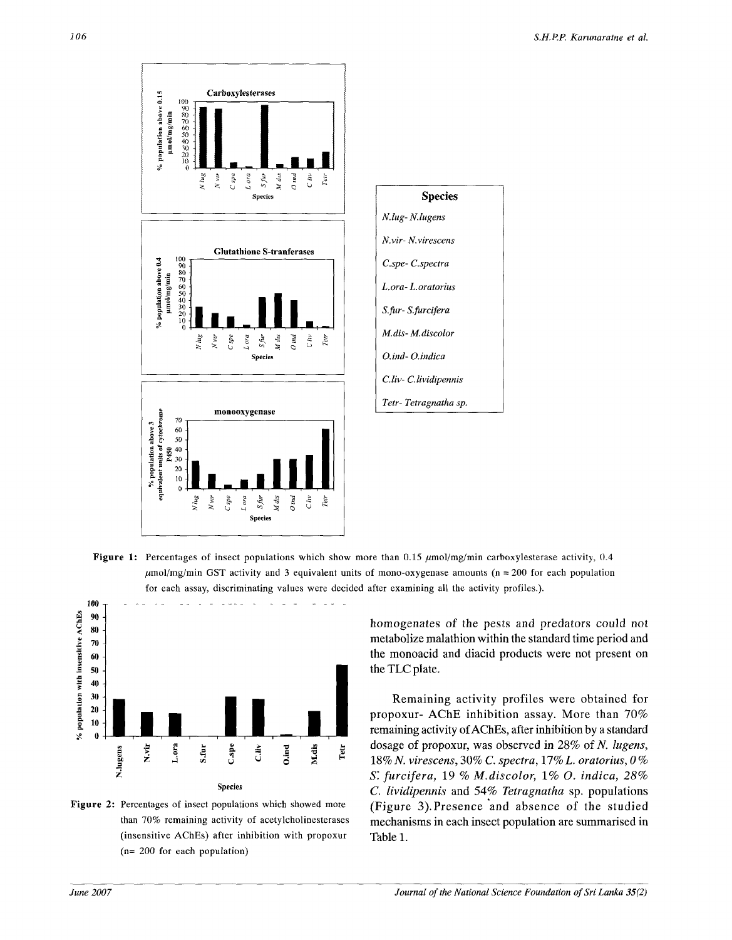

Figure 1: Percentages of insect populations which show more than 0.15  $\mu$ mol/mg/min carboxylesterase activity, 0.4  $\mu$ mol/mg/min GST activity and 3 equivalent units of mono-oxygenase amounts (n = 200 for each population for each assay, discriminating values were decided after examining all the activity profiles.).



Figure 2: Percentages of insect populations which showed more than 70% remaining activity of acetylcholinesterases (insensitive AChEs) after inhibition with propoxur (n= 200 for each population)

homogenates of the pests and predators could not metabolize malathion within the standard time period and the monoacid and diacid products were not present on the TLC plate.

Remaining activity profiles were obtained for propoxur- AChE inhibition assay. More than 70% remaining activity of AChEs, after inhibition by a standard dosage of propoxur, was observed in 28% of *N. lugens,*  18% *N. virescens,* 30% C *spectra,* 17% *L. oratorius, 0% S'. furcifera,* 19 % *M.discolor, 1% O. indica, 28% C. lividipennis* and 54% *Tetragnatha* sp. populations (Figure 3).Presence and absence of the studied mechanisms in each insect population are summarised in Table 1.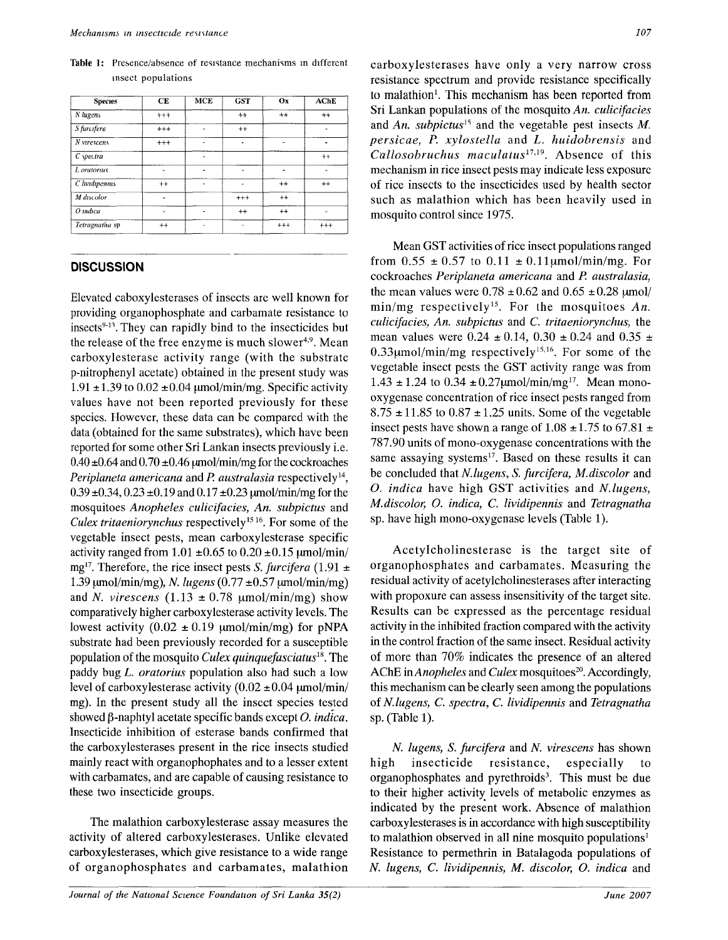**Table 1:** Presence/absence of resistance mechanisms m different insect populations

| <b>Species</b> | CE       | <b>MCE</b> | <b>GST</b> | Ox       | <b>AChE</b> |
|----------------|----------|------------|------------|----------|-------------|
| N lugens       | $+++$    |            | $++$       | $^{++}$  | $++$        |
| S furcifera    | $^{+++}$ | ä,         | $++$       |          |             |
| N virescens    | $***$    | Ē,         | ٠          | ۰        |             |
| C spectra      |          |            |            |          | $++$        |
| L oratorus     |          | ä.         |            | ä.       |             |
| C lividipennis | $++$     |            |            | $^{++}$  | $^{++}$     |
| M discolor     |          |            | $^{++}$    | $++$     |             |
| $O$ indica     |          |            | $^{++}$    | $^{++}$  |             |
| Tetragnatha sp | $^{++}$  | ä,         |            | $^{+++}$ | $^{++}$     |

#### **DISCUSSION**

Elevated caboxylesterases of insects are well known for providing organophosphate and carbamate resistance to insects<sup>9-13</sup>. They can rapidly bind to the insecticides but the release of the free enzyme is much slower<sup>4,9</sup>. Mean carboxylesterase activity range (with the substrate p-nitrophenyl acetate) obtained in the present study was 1.91  $\pm$ 1.39 to 0.02  $\pm$ 0.04  $\mu$ mol/min/mg. Specific activity values have not been reported previously for these species. However, these data can be compared with the data (obtained for the same substrates), which have been reported for some other Sri Lankan insects previously i.e.  $0.40 \pm 0.64$  and  $0.70 \pm 0.46$   $\mu$ mol/min/mg for the cockroaches Periplaneta americana and P. australasia respectively<sup>14</sup>,  $0.39 \pm 0.34$ ,  $0.23 \pm 0.19$  and  $0.17 \pm 0.23$  umol/min/mg for the mosquitoes *Anopheles culicifacies, An. subpictus* and Culex tritaeniorynchus respectively<sup>15 16</sup>. For some of the vegetable insect pests, mean carboxylesterase specific activity ranged from  $1.01 \pm 0.65$  to  $0.20 \pm 0.15$  umol/min/ mg<sup>17</sup>. Therefore, the rice insect pests *S. furcifera* (1.91 ± 1.39 μmol/min/mg), *N. lugens* (0.77 ±0.57 μmol/min/mg) and *N. virescens*  $(1.13 \pm 0.78 \mu\text{mol/min/mg})$  show comparatively higher carboxylesterase activity levels. The lowest activity  $(0.02 \pm 0.19 \text{ \mu m}ol/min/mg)$  for pNPA substrate had been previously recorded for a susceptible population of the mosquito *Culex quinquefasciatus<sup>1</sup> \*.* The paddy bug *L. oratorius* population also had such a low level of carboxylesterase activity  $(0.02 \pm 0.04 \text{ \mu mol/min/})$ mg). In the present study all the insect species tested showed  $\beta$ -naphtyl acetate specific bands except O. *indica*. Insecticide inhibition of esterase bands confirmed that the carboxylesterases present in the rice insects studied mainly react with organophophates and to a lesser extent with carbamates, and are capable of causing resistance to these two insecticide groups.

The malathion carboxylesterase assay measures the activity of altered carboxylesterases. Unlike elevated carboxylesterases, which give resistance to a wide range of organophosphates and carbamates, malathion carboxylesterases have only a very narrow cross resistance spectrum and provide resistance specifically to malathion<sup>1</sup>. This mechanism has been reported from Sri Lankan populations of the mosquito *An. culicifacies*  and *An. subpictus<sup>1</sup> ^* and the vegetable pest insects *M. persicae, P. xylostella* and *L. huidobrensis* and *Cullosobruchus maculatus<sup>1719</sup> .* Absence of this mechanism in rice insect pests may indicate less exposure of rice insects to the insecticides used by health sector such as malathion which has been heavily used in mosquito control since 1975.

Mean GST activities of rice insect populations ranged from  $0.55 \pm 0.57$  to  $0.11 \pm 0.11$ µmol/min/mg. For cockroaches *Periplaneta americana* and *P. australasia,*  the mean values were  $0.78 \pm 0.62$  and  $0.65 \pm 0.28$   $\mu$ mol/ min/mg respectively<sup>15</sup>. For the mosquitoes An. *culicifacies, An. subpictus* and *C. tritaeniorynchus,* the mean values were 0.24  $\pm$  0.14, 0.30  $\pm$  0.24 and 0.35  $\pm$  $0.33\mu$ mol/min/mg respectively<sup>15,16</sup>. For some of the vegetable insect pests the GST activity range was from  $1.43 \pm 1.24$  to  $0.34 \pm 0.27 \mu$ mol/min/mg<sup>17</sup>. Mean monooxygenase concentration of rice insect pests ranged from  $8.75 \pm 11.85$  to  $0.87 \pm 1.25$  units. Some of the vegetable insect pests have shown a range of  $1.08 \pm 1.75$  to  $67.81 \pm 1.75$ 787.90 units of mono-oxygenase concentrations with the same assaying systems<sup>17</sup>. Based on these results it can be concluded that *N.lugens, S. furcifera, M.discolor* and *O. indica* have high GST activities and *N.lugens, M. discolor, O. indica, C. lividipennis* and *Tetragnatha*  sp. have high mono-oxygenase levels (Table 1).

Acetylcholinesterase is the target site of organophosphates and carbamates. Measuring the residual activity of acetylcholinesterases after interacting with propoxure can assess insensitivity of the target site. Results can be expressed as the percentage residual activity in the inhibited fraction compared with the activity in the control fraction of the same insect. Residual activity of more than 70% indicates the presence of an altered AChE in *Anopheles* and *Culex* mosquitoes<sup>20</sup>. Accordingly, this mechanism can be clearly seen among the populations of *N.lugens, C. spectra, C. lividipennis* and *Tetragnatha*  sp. (Table 1).

*N. lugens, S. furcifera* and *N. virescens* has shown high insecticide resistance, especially to organophosphates and pyrethroids<sup>3</sup>. This must be due to their higher activity levels of metabolic enzymes as indicated by the present work. Absence of malathion carboxylesterases is in accordance with high susceptibility to malathion observed in all nine mosquito populations<sup>1</sup> Resistance to permethrin in Batalagoda populations of *N lugens, C. lividipennis, M. discolor, O. indica* and